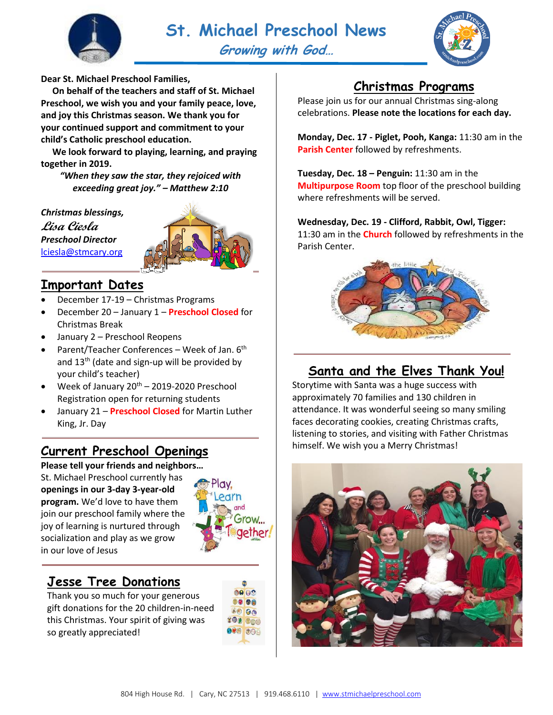



**Dear St. Michael Preschool Families,**

 **On behalf of the teachers and staff of St. Michael Preschool, we wish you and your family peace, love, and joy this Christmas season. We thank you for your continued support and commitment to your child's Catholic preschool education.**

 **We look forward to playing, learning, and praying together in 2019.**

*"When they saw the star, they rejoiced with exceeding great joy." – Matthew 2:10*

*Christmas blessings,*

**Lisa Ciesla** *Preschool Director* [lciesla@stmcary.org](mailto:lciesla@stmcary.org)



### **Important Dates**

- December 17-19 Christmas Programs
- December 20 January 1 **Preschool Closed** for Christmas Break
- January 2 Preschool Reopens
- Parent/Teacher Conferences Week of Jan.  $6<sup>th</sup>$ and 13<sup>th</sup> (date and sign-up will be provided by your child's teacher)
- Week of January  $20^{th}$  2019-2020 Preschool Registration open for returning students
- January 21 **Preschool Closed** for Martin Luther King, Jr. Day

## **Current Preschool Openings**

#### **Please tell your friends and neighbors…**

St. Michael Preschool currently has **openings in our 3-day 3-year-old program.** We'd love to have them join our preschool family where the joy of learning is nurtured through socialization and play as we grow in our love of Jesus



## **Jesse Tree Donations**

Thank you so much for your generous gift donations for the 20 children-in-need this Christmas. Your spirit of giving was so greatly appreciated!

| $\bullet$ 00   |  |
|----------------|--|
| 0000           |  |
| 0000           |  |
| <b>100 000</b> |  |
| $O90$ $OOB$    |  |
|                |  |

# **Christmas Programs**

Please join us for our annual Christmas sing-along celebrations. **Please note the locations for each day.**

**Monday, Dec. 17 - Piglet, Pooh, Kanga:** 11:30 am in the **Parish Center** followed by refreshments.

**Tuesday, Dec. 18 – Penguin:** 11:30 am in the **Multipurpose Room** top floor of the preschool building where refreshments will be served.

#### **Wednesday, Dec. 19 - Clifford, Rabbit, Owl, Tigger:**

11:30 am in the **Church** followed by refreshments in the Parish Center.



# **Santa and the Elves Thank You!**

Storytime with Santa was a huge success with approximately 70 families and 130 children in attendance. It was wonderful seeing so many smiling faces decorating cookies, creating Christmas crafts, listening to stories, and visiting with Father Christmas himself. We wish you a Merry Christmas!